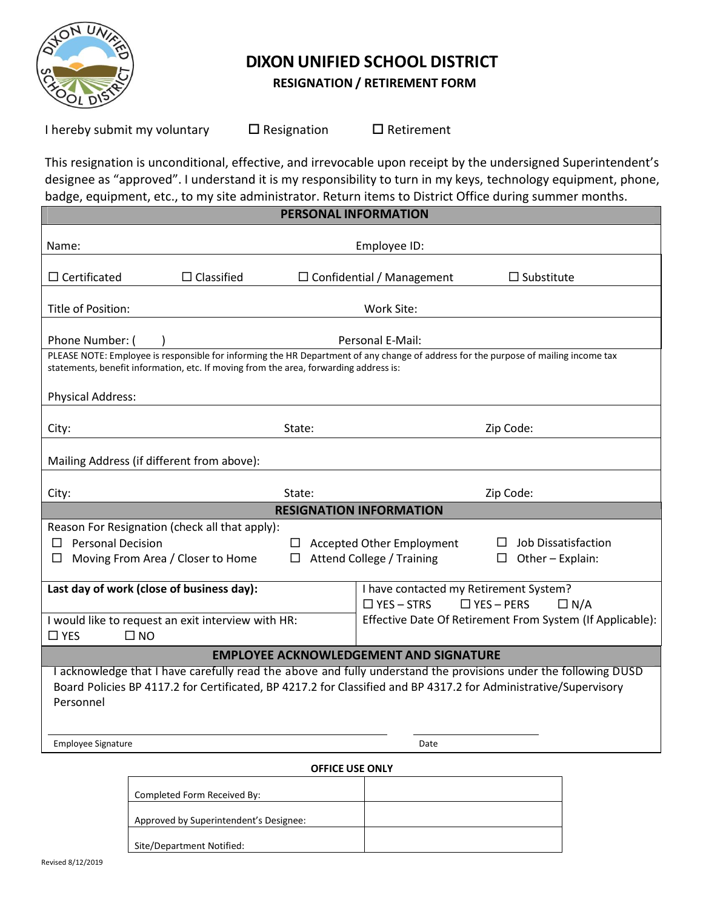

## **DIXON UNIFIED SCHOOL DISTRICT**

## **RESIGNATION / RETIREMENT FORM**

I hereby submit my voluntary  $\Box$  Resignation  $\Box$  Retirement

This resignation is unconditional, effective, and irrevocable upon receipt by the undersigned Superintendent's designee as "approved". I understand it is my responsibility to turn in my keys, technology equipment, phone, badge, equipment, etc., to my site administrator. Return items to District Office during summer months. **PERSONAL INFORMATION**

|                                                                                                                                                                                                                                                  | <u>PERSUNAL INFURIVIA I IUN</u>                                                                |  |  |
|--------------------------------------------------------------------------------------------------------------------------------------------------------------------------------------------------------------------------------------------------|------------------------------------------------------------------------------------------------|--|--|
| Name:                                                                                                                                                                                                                                            | Employee ID:                                                                                   |  |  |
| $\Box$ Certificated<br>$\Box$ Classified                                                                                                                                                                                                         | $\Box$ Confidential / Management<br>$\Box$ Substitute                                          |  |  |
| Title of Position:<br>Work Site:                                                                                                                                                                                                                 |                                                                                                |  |  |
| Phone Number: (                                                                                                                                                                                                                                  | Personal E-Mail:                                                                               |  |  |
| PLEASE NOTE: Employee is responsible for informing the HR Department of any change of address for the purpose of mailing income tax<br>statements, benefit information, etc. If moving from the area, forwarding address is:                     |                                                                                                |  |  |
| <b>Physical Address:</b>                                                                                                                                                                                                                         |                                                                                                |  |  |
| City:<br>State:                                                                                                                                                                                                                                  | Zip Code:                                                                                      |  |  |
| Mailing Address (if different from above):                                                                                                                                                                                                       |                                                                                                |  |  |
| State:<br>City:                                                                                                                                                                                                                                  | Zip Code:                                                                                      |  |  |
|                                                                                                                                                                                                                                                  | <b>RESIGNATION INFORMATION</b>                                                                 |  |  |
| Reason For Resignation (check all that apply):                                                                                                                                                                                                   |                                                                                                |  |  |
| $\Box$ Personal Decision                                                                                                                                                                                                                         | Job Dissatisfaction<br>$\Box$ Accepted Other Employment<br>$\Box$                              |  |  |
| Moving From Area / Closer to Home<br>$\Box$                                                                                                                                                                                                      | $\Box$ Attend College / Training<br>$\Box$ Other - Explain:                                    |  |  |
| Last day of work (close of business day):                                                                                                                                                                                                        | I have contacted my Retirement System?<br>$\Box$ YES - STRS<br>$\Box$ YES - PERS<br>$\Box N/A$ |  |  |
| I would like to request an exit interview with HR:<br>$\square$ YES<br>$\square$ NO                                                                                                                                                              | Effective Date Of Retirement From System (If Applicable):                                      |  |  |
| <b>EMPLOYEE ACKNOWLEDGEMENT AND SIGNATURE</b>                                                                                                                                                                                                    |                                                                                                |  |  |
| I acknowledge that I have carefully read the above and fully understand the provisions under the following DUSD<br>Board Policies BP 4117.2 for Certificated, BP 4217.2 for Classified and BP 4317.2 for Administrative/Supervisory<br>Personnel |                                                                                                |  |  |
| Employee Signature                                                                                                                                                                                                                               | Date                                                                                           |  |  |
| <b>OFFICE USE ONLY</b>                                                                                                                                                                                                                           |                                                                                                |  |  |
|                                                                                                                                                                                                                                                  |                                                                                                |  |  |

| UI I IUL UJL UIILI                     |  |  |
|----------------------------------------|--|--|
|                                        |  |  |
| Completed Form Received By:            |  |  |
|                                        |  |  |
| Approved by Superintendent's Designee: |  |  |
|                                        |  |  |
| Site/Department Notified:              |  |  |